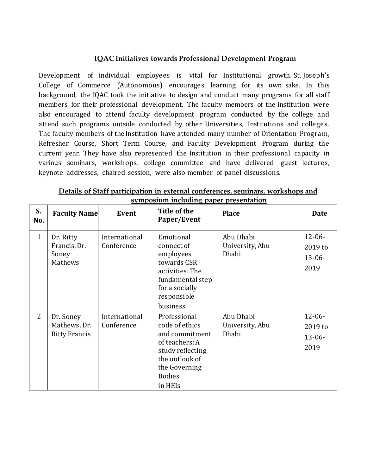#### **IQAC Initiatives towards Professional Development Program**

Development of individual employees is vital for Institutional growth. St. Joseph's College of Commerce (Autonomous) encourages learning for its own sake. In this background, the IQAC took the initiative to design and conduct many programs for all staff members for their professional development. The faculty members of the institution were also encouraged to attend faculty development program conducted by the college and attend such programs outside conducted by other Universities, Institutions and colleges. The faculty members of the Institution have attended many number of Orientation Progra m, Refresher Course, Short Term Course, and Faculty Development Program during the current year. They have also represented the Institution in their professional capacity in various seminars, workshops, college committee and have delivered guest lectures, keynote addresses, chaired session, were also member of panel discussions.

| S.<br>No.      | <b>Faculty Name</b>                               | Event                       | Title of the<br>Paper/Event                                                                                                                           | <b>Place</b>                          | <b>Date</b>                                   |
|----------------|---------------------------------------------------|-----------------------------|-------------------------------------------------------------------------------------------------------------------------------------------------------|---------------------------------------|-----------------------------------------------|
| $\mathbf{1}$   | Dr. Ritty<br>Francis, Dr.<br>Soney<br>Mathews     | International<br>Conference | Emotional<br>connect of<br>employees<br>towards CSR<br>activities: The<br>fundamental step<br>for a socially<br>responsible<br>business               | Abu Dhabi<br>University, Abu<br>Dhabi | $12 - 06 -$<br>2019 to<br>$13 - 06 -$<br>2019 |
| $\overline{2}$ | Dr. Soney<br>Mathews, Dr.<br><b>Ritty Francis</b> | International<br>Conference | Professional<br>code of ethics<br>and commitment<br>of teachers: A<br>study reflecting<br>the outlook of<br>the Governing<br><b>Bodies</b><br>in HEIs | Abu Dhabi<br>University, Abu<br>Dhabi | $12 - 06 -$<br>2019 to<br>$13 - 06 -$<br>2019 |

**Details of Staff participation in external conferences, seminars, workshops and symposium including paper presentation**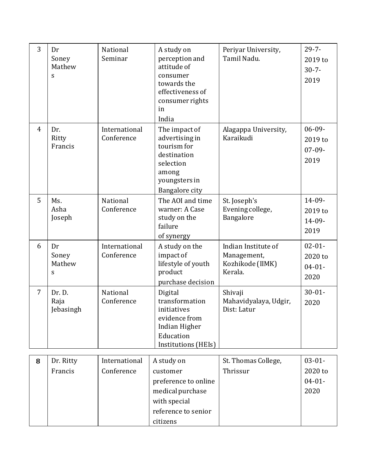| 3              | Dr<br>Soney<br>Mathew<br>S  | National<br>Seminar         | A study on<br>perception and<br>attitude of<br>consumer<br>towards the<br>effectiveness of<br>consumer rights<br>in<br>India | Periyar University,<br>Tamil Nadu.                                | $29 - 7 -$<br>2019 to<br>$30 - 7 -$<br>2019   |
|----------------|-----------------------------|-----------------------------|------------------------------------------------------------------------------------------------------------------------------|-------------------------------------------------------------------|-----------------------------------------------|
| $\overline{4}$ | Dr.<br>Ritty<br>Francis     | International<br>Conference | The impact of<br>advertising in<br>tourism for<br>destination<br>selection<br>among<br>youngsters in<br>Bangalore city       | Alagappa University,<br>Karaikudi                                 | $06 - 09 -$<br>2019 to<br>$07-09-$<br>2019    |
| 5              | Ms.<br>Asha<br>Joseph       | National<br>Conference      | The AOI and time<br>warner: A Case<br>study on the<br>failure<br>of synergy                                                  | St. Joseph's<br>Evening college,<br>Bangalore                     | 14-09-<br>2019 to<br>$14 - 09 -$<br>2019      |
| 6              | Dr<br>Soney<br>Mathew<br>S  | International<br>Conference | A study on the<br>impact of<br>lifestyle of youth<br>product<br>purchase decision                                            | Indian Institute of<br>Management,<br>Kozhikode (IIMK)<br>Kerala. | $02 - 01 -$<br>2020 to<br>$04 - 01 -$<br>2020 |
| $\overline{7}$ | Dr. D.<br>Raja<br>Jebasingh | National<br>Conference      | Digital<br>transformation<br>initiatives<br>evidence from<br>Indian Higher<br>Education<br>Institutions (HEIs)               | Shivaji<br>Mahavidyalaya, Udgir,<br>Dist: Latur                   | $30 - 01 -$<br>2020                           |
| 8              | Dr. Ritty                   | International               | A study on                                                                                                                   | St. Thomas College,                                               | $03 - 01 -$                                   |
|                | Francis                     | Conference                  | customer                                                                                                                     | Thrissur                                                          | 2020 to                                       |
|                |                             |                             | preference to online<br>medical purchase                                                                                     |                                                                   | $04 - 01 -$<br>2020                           |
|                |                             |                             | with special                                                                                                                 |                                                                   |                                               |
|                |                             |                             | reference to senior                                                                                                          |                                                                   |                                               |
|                |                             |                             | citizens                                                                                                                     |                                                                   |                                               |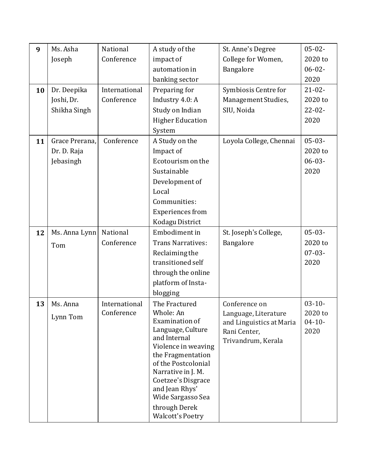| 9  | Ms. Asha       | National      | A study of the                            | St. Anne's Degree                  | $05 - 02 -$ |
|----|----------------|---------------|-------------------------------------------|------------------------------------|-------------|
|    | Joseph         | Conference    | impact of                                 | College for Women,                 | 2020 to     |
|    |                |               | automation in                             | Bangalore                          | $06 - 02 -$ |
|    |                |               | banking sector                            |                                    | 2020        |
| 10 | Dr. Deepika    | International | Preparing for                             | Symbiosis Centre for               | $21 - 02 -$ |
|    | Joshi, Dr.     | Conference    | Industry 4.0: A                           | Management Studies,                | 2020 to     |
|    | Shikha Singh   |               | Study on Indian                           | SIU, Noida                         | $22 - 02 -$ |
|    |                |               | <b>Higher Education</b>                   |                                    | 2020        |
|    |                |               | System                                    |                                    |             |
| 11 | Grace Prerana, | Conference    | A Study on the                            | Loyola College, Chennai            | $05-03-$    |
|    | Dr. D. Raja    |               | Impact of                                 |                                    | 2020 to     |
|    | Jebasingh      |               | Ecotourism on the                         |                                    | $06 - 03 -$ |
|    |                |               | Sustainable                               |                                    | 2020        |
|    |                |               | Development of                            |                                    |             |
|    |                |               | Local                                     |                                    |             |
|    |                |               | Communities:                              |                                    |             |
|    |                |               | <b>Experiences</b> from                   |                                    |             |
|    |                |               | Kodagu District                           |                                    |             |
| 12 | Ms. Anna Lynn  | National      | Embodiment in                             | St. Joseph's College,              | $05-03-$    |
|    | Tom            | Conference    | <b>Trans Narratives:</b>                  | Bangalore                          | 2020 to     |
|    |                |               | Reclaiming the                            |                                    | $07 - 03 -$ |
|    |                |               | transitioned self                         |                                    | 2020        |
|    |                |               | through the online                        |                                    |             |
|    |                |               | platform of Insta-                        |                                    |             |
|    |                |               | blogging                                  |                                    |             |
| 13 | Ms. Anna       | International | The Fractured                             | Conference on                      | $03 - 10 -$ |
|    | Lynn Tom       | Conference    | Whole: An                                 | Language, Literature               | 2020 to     |
|    |                |               | Examination of<br>Language, Culture       | and Linguistics at Maria           | $04 - 10 -$ |
|    |                |               | and Internal                              | Rani Center,<br>Trivandrum, Kerala | 2020        |
|    |                |               | Violence in weaving                       |                                    |             |
|    |                |               | the Fragmentation                         |                                    |             |
|    |                |               | of the Postcolonial<br>Narrative in J. M. |                                    |             |
|    |                |               | Coetzee's Disgrace                        |                                    |             |
|    |                |               | and Jean Rhys'                            |                                    |             |
|    |                |               | Wide Sargasso Sea                         |                                    |             |
|    |                |               | through Derek                             |                                    |             |
|    |                |               | <b>Walcott's Poetry</b>                   |                                    |             |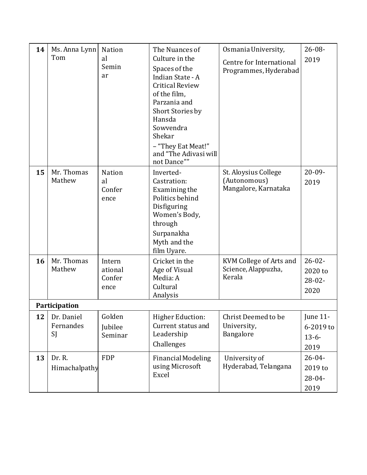| 14 | Ms. Anna Lynn<br>Tom          | <b>Nation</b><br>al<br>Semin<br>ar    | The Nuances of<br>Culture in the<br>Spaces of the<br>Indian State - A<br><b>Critical Review</b><br>of the film,<br>Parzania and<br>Short Stories by<br>Hansda | Osmania University,<br>Centre for International<br>Programmes, Hyderabad | $26 - 08 -$<br>2019                           |
|----|-------------------------------|---------------------------------------|---------------------------------------------------------------------------------------------------------------------------------------------------------------|--------------------------------------------------------------------------|-----------------------------------------------|
|    |                               |                                       | Sowvendra<br>Shekar<br>- "They Eat Meat!"<br>and "The Adivasi will<br>not Dance""                                                                             |                                                                          |                                               |
| 15 | Mr. Thomas<br>Mathew          | <b>Nation</b><br>al<br>Confer<br>ence | Inverted-<br>Castration:<br>Examining the<br>Politics behind<br>Disfiguring<br>Women's Body,<br>through<br>Surpanakha<br>Myth and the<br>film Uyare.          | St. Aloysius College<br>(Autonomous)<br>Mangalore, Karnataka             | $20 - 09 -$<br>2019                           |
| 16 | Mr. Thomas<br>Mathew          | Intern<br>ational<br>Confer<br>ence   | Cricket in the<br>Age of Visual<br>Media: A<br>Cultural<br>Analysis                                                                                           | KVM College of Arts and<br>Science, Alappuzha,<br>Kerala                 | $26 - 02 -$<br>2020 to<br>$28 - 02 -$<br>2020 |
|    | Participation                 |                                       |                                                                                                                                                               |                                                                          |                                               |
| 12 | Dr. Daniel<br>Fernandes<br>SJ | Golden<br>Jubilee<br>Seminar          | <b>Higher Eduction:</b><br>Current status and<br>Leadership<br>Challenges                                                                                     | Christ Deemed to be<br>University,<br>Bangalore                          | June 11-<br>6-2019 to<br>$13-6-$<br>2019      |
| 13 | Dr. R.<br>Himachalpathy       | <b>FDP</b>                            | <b>Financial Modeling</b><br>using Microsoft<br>Excel                                                                                                         | University of<br>Hyderabad, Telangana                                    | $26 - 04 -$<br>2019 to<br>$28 - 04 -$<br>2019 |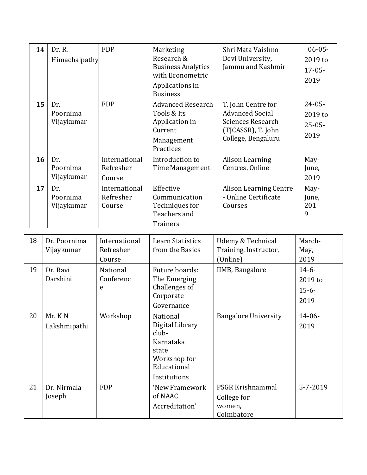| 14 | Dr. R.<br>Himachalpathy       | <b>FDP</b>                           | Marketing<br>Research &<br><b>Business Analytics</b><br>with Econometric<br>Applications in<br><b>Business</b> | Shri Mata Vaishno<br>Devi University,<br>Jammu and Kashmir                                                    | $06 - 05 -$<br>2019 to<br>$17 - 05 -$<br>2019 |
|----|-------------------------------|--------------------------------------|----------------------------------------------------------------------------------------------------------------|---------------------------------------------------------------------------------------------------------------|-----------------------------------------------|
| 15 | Dr.<br>Poornima<br>Vijaykumar | <b>FDP</b>                           | <b>Advanced Research</b><br>Tools & Its<br>Application in<br>Current<br>Management<br>Practices                | T. John Centre for<br><b>Advanced Social</b><br>Sciences Research<br>(TJCASSR), T. John<br>College, Bengaluru | $24 - 05 -$<br>2019 to<br>$25 - 05 -$<br>2019 |
| 16 | Dr.<br>Poornima<br>Vijaykumar | International<br>Refresher<br>Course | Introduction to<br>Time Management                                                                             | Alison Learning<br>Centres, Online                                                                            | May-<br>June,<br>2019                         |
| 17 | Dr.<br>Poornima<br>Vijaykumar | International<br>Refresher<br>Course | Effective<br>Communication<br>Techniques for<br>Teachers and<br><b>Trainers</b>                                | <b>Alison Learning Centre</b><br>- Online Certificate<br>Courses                                              | May-<br>June,<br>201<br>9                     |
| 18 | Dr. Poornima<br>Vijaykumar    | International<br>Refresher           | <b>Learn Statistics</b><br>from the Basics                                                                     | Udemy & Technical<br>Training, Instructor,                                                                    | March-<br>May,                                |

|    | Vijaykumar             | Refresher<br>Course        | from the Basics                                                                                           | Training, Instructor,<br>(Online)                       | May,<br>2019                          |
|----|------------------------|----------------------------|-----------------------------------------------------------------------------------------------------------|---------------------------------------------------------|---------------------------------------|
| 19 | Dr. Ravi<br>Darshini   | National<br>Conferenc<br>e | Future boards:<br>The Emerging<br>Challenges of<br>Corporate<br>Governance                                | IIMB, Bangalore                                         | $14-6-$<br>2019 to<br>$15-6-$<br>2019 |
| 20 | Mr. KN<br>Lakshmipathi | Workshop                   | National<br>Digital Library<br>club-<br>Karnataka<br>state<br>Workshop for<br>Educational<br>Institutions | <b>Bangalore University</b>                             | $14 - 06 -$<br>2019                   |
| 21 | Dr. Nirmala<br>Joseph  | <b>FDP</b>                 | 'New Framework<br>of NAAC<br>Accreditation'                                                               | PSGR Krishnammal<br>College for<br>women,<br>Coimbatore | $5 - 7 - 2019$                        |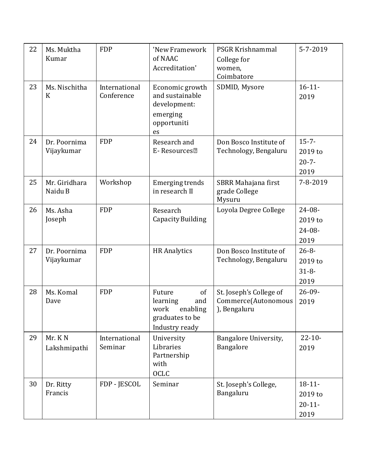| 22 | Ms. Muktha<br>Kumar        | <b>FDP</b>                  | 'New Framework<br>of NAAC<br>Accreditation'                                              | PSGR Krishnammal<br>College for<br>women,<br>Coimbatore        | $5 - 7 - 2019$                                |
|----|----------------------------|-----------------------------|------------------------------------------------------------------------------------------|----------------------------------------------------------------|-----------------------------------------------|
| 23 | Ms. Nischitha<br>K         | International<br>Conference | Economic growth<br>and sustainable<br>development:<br>emerging<br>opportuniti<br>es      | SDMID, Mysore                                                  | $16 - 11$<br>2019                             |
| 24 | Dr. Poornima<br>Vijaykumar | <b>FDP</b>                  | Research and<br>E-Resources <sup>•</sup>                                                 | Don Bosco Institute of<br>Technology, Bengaluru                | $15 - 7 -$<br>2019 to<br>$20 - 7 -$<br>2019   |
| 25 | Mr. Giridhara<br>Naidu B   | Workshop                    | <b>Emerging trends</b><br>in research II                                                 | SBRR Mahajana first<br>grade College<br>Mysuru                 | 7-8-2019                                      |
| 26 | Ms. Asha<br>Joseph         | <b>FDP</b>                  | Research<br>Capacity Building                                                            | Loyola Degree College                                          | $24 - 08 -$<br>2019 to<br>$24 - 08 -$<br>2019 |
| 27 | Dr. Poornima<br>Vijaykumar | <b>FDP</b>                  | <b>HR</b> Analytics                                                                      | Don Bosco Institute of<br>Technology, Bengaluru                | $26 - 8 -$<br>2019 to<br>$31 - 8 -$<br>2019   |
| 28 | Ms. Komal<br>Dave          | <b>FDP</b>                  | Future<br>of<br>learning<br>and<br>work<br>enabling<br>graduates to be<br>Industry ready | St. Joseph's College of<br>Commerce(Autonomous<br>), Bengaluru | $26 - 09 -$<br>2019                           |
| 29 | Mr. KN<br>Lakshmipathi     | International<br>Seminar    | University<br>Libraries<br>Partnership<br>with<br><b>OCLC</b>                            | Bangalore University,<br>Bangalore                             | $22 - 10$<br>2019                             |
| 30 | Dr. Ritty<br>Francis       | FDP - JESCOL                | Seminar                                                                                  | St. Joseph's College,<br>Bangaluru                             | $18 - 11 -$<br>2019 to<br>$20 - 11$<br>2019   |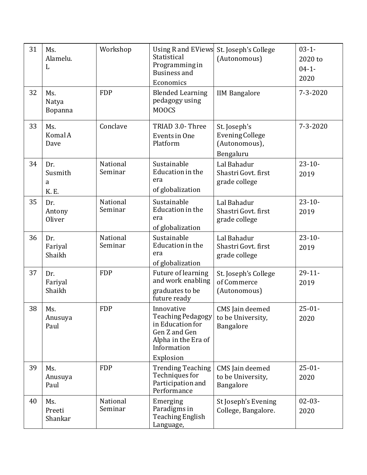| 31 | Ms.<br>Alamelu.<br>L               | Workshop            | Using R and EViews<br>Statistical<br>Programming in<br>Business and<br>Economics                                  | St. Joseph's College<br>(Autonomous)                                 | $03 - 1 -$<br>2020 to<br>$04 - 1 -$<br>2020 |
|----|------------------------------------|---------------------|-------------------------------------------------------------------------------------------------------------------|----------------------------------------------------------------------|---------------------------------------------|
| 32 | Ms.<br>Natya<br>Bopanna            | <b>FDP</b>          | <b>Blended Learning</b><br>pedagogy using<br><b>MOOCS</b>                                                         | <b>IIM Bangalore</b>                                                 | $7 - 3 - 2020$                              |
| 33 | Ms.<br><b>Komal A</b><br>Dave      | Conclave            | TRIAD 3.0- Three<br>Events in One<br>Platform                                                                     | St. Joseph's<br><b>Evening College</b><br>(Autonomous),<br>Bengaluru | $7 - 3 - 2020$                              |
| 34 | Dr.<br>Susmith<br>a<br><b>K.E.</b> | National<br>Seminar | Sustainable<br>Education in the<br>era<br>of globalization                                                        | Lal Bahadur<br>Shastri Govt. first<br>grade college                  | $23 - 10 -$<br>2019                         |
| 35 | Dr.<br>Antony<br>Oliver            | National<br>Seminar | Sustainable<br>Education in the<br>era<br>of globalization                                                        | Lal Bahadur<br>Shastri Govt. first<br>grade college                  | $23 - 10$<br>2019                           |
| 36 | Dr.<br>Fariyal<br>Shaikh           | National<br>Seminar | Sustainable<br>Education in the<br>era<br>of globalization                                                        | Lal Bahadur<br>Shastri Govt. first<br>grade college                  | $23 - 10 -$<br>2019                         |
| 37 | Dr.<br>Fariyal<br>Shaikh           | <b>FDP</b>          | Future of learning<br>and work enabling<br>graduates to be<br>future ready                                        | St. Joseph's College<br>of Commerce<br>(Autonomous)                  | $29 - 11$<br>2019                           |
| 38 | Ms.<br>Anusuya<br>Paul             | <b>FDP</b>          | Innovative<br><b>Teaching Pedagogy</b><br>in Education for<br>Gen Z and Gen<br>Alpha in the Era of<br>Information | CMS Jain deemed<br>to be University,<br>Bangalore                    | $25 - 01 -$<br>2020                         |
| 39 | Ms.<br>Anusuya<br>Paul             | <b>FDP</b>          | Explosion<br><b>Trending Teaching</b><br>Techniques for<br>Participation and<br>Performance                       | CMS Jain deemed<br>to be University,<br>Bangalore                    | $25 - 01 -$<br>2020                         |
| 40 | Ms.<br>Preeti<br>Shankar           | National<br>Seminar | Emerging<br>Paradigms in<br><b>Teaching English</b><br>Language,                                                  | St Joseph's Evening<br>College, Bangalore.                           | $02 - 03 -$<br>2020                         |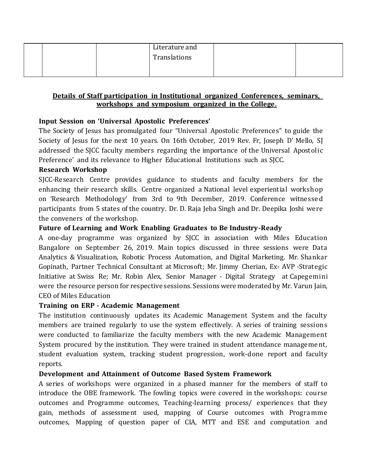|  | Literature and |  |
|--|----------------|--|
|  | Translations   |  |
|  |                |  |

### **Details of Staff participation in Institutional organized Conferences, seminars, workshops and symposium organized in the College.**

## **Input Session on 'Universal Apostolic Preferences'**

The Society of Jesus has promulgated four "Universal Apostolic Preferences" to guide the Society of Jesus for the next 10 years. On 16th October, 2019 Rev. Fr, Joseph D' Mello, SJ addressed the SJCC faculty members regarding the importance of the Universal Apostolic Preference' and its relevance to Higher Educational Institutions such as SJCC.

### **Research Workshop**

SJCC-Research Centre provides guidance to students and faculty members for the enhancing their research skills. Centre organized a National level experiential workshop on 'Research Methodology' from 3rd to 9th December, 2019. Conference witnesse d participants from 5 states of the country. Dr. D. Raja Jeba Singh and Dr. Deepika Joshi were the conveners of the workshop.

### **Future of Learning and Work Enabling Graduates to Be Industry-Ready**

A one-day programme was organized by SJCC in association with Miles Education Bangalore on September 26, 2019. Main topics discussed in three sessions were Data Analytics & Visualization, Robotic Process Automation, and Digital Marketing. Mr. Shankar Gopinath, Partner Technical Consultant at Microsoft; Mr. Jimmy Cherian, Ex- AVP -Strategic Initiative at Swiss Re; Mr. Robin Alex, Senior Manager - Digital Strategy at Capegemini were the resource person for respective sessions. Sessions were moderated by Mr. Varun Jain, CEO of Miles Education

### **Training on ERP - Academic Management**

The institution continuously updates its Academic Management System and the faculty members are trained regularly to use the system effectively. A series of training sessions were conducted to familiarize the faculty members with the new Academic Management System procured by the institution. They were trained in student attendance manageme nt, student evaluation system, tracking student progression, work-done report and faculty reports.

### **Development and Attainment of Outcome Based System Framework**

A series of workshops were organized in a phased manner for the members of staff to introduce the OBE framework. The fowling topics were covered in the workshops: course outcomes and Programme outcomes, Teaching-learning process/ experiences that they gain, methods of assessment used, mapping of Course outcomes with Progra mme outcomes, Mapping of question paper of CIA, MTT and ESE and computation and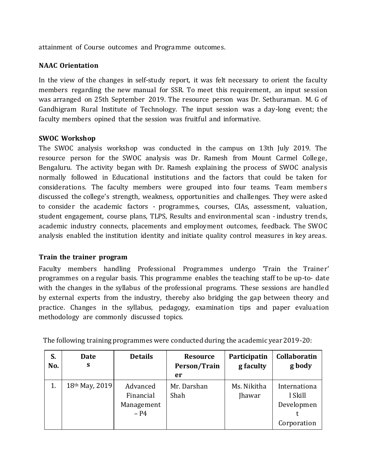attainment of Course outcomes and Programme outcomes.

### **NAAC Orientation**

In the view of the changes in self-study report, it was felt necessary to orient the faculty members regarding the new manual for SSR. To meet this requirement, an input session was arranged on 25th September 2019. The resource person was Dr. Sethuraman. M. G of Gandhigram Rural Institute of Technology. The input session was a day-long event; the faculty members opined that the session was fruitful and informative.

### **SWOC Workshop**

The SWOC analysis workshop was conducted in the campus on 13th July 2019. The resource person for the SWOC analysis was Dr. Ramesh from Mount Carmel College, Bengaluru. The activity began with Dr. Ramesh explaining the process of SWOC analysis normally followed in Educational institutions and the factors that could be taken for considerations. The faculty members were grouped into four teams. Team members discussed the college's strength, weakness, opportunities and challenges. They were asked to consider the academic factors - programmes, courses, CIAs, assessment, valuation, student engagement, course plans, TLPS, Results and environmental scan - industry trends, academic industry connects, placements and employment outcomes, feedback. The SWOC analysis enabled the institution identity and initiate quality control measures in key areas.

### **Train the trainer program**

Faculty members handling Professional Programmes undergo 'Train the Trainer' programmes on a regular basis. This programme enables the teaching staff to be up-to- date with the changes in the syllabus of the professional programs. These sessions are handled by external experts from the industry, thereby also bridging the gap between theory and practice. Changes in the syllabus, pedagogy, examination tips and paper evaluation methodology are commonly discussed topics.

| S.<br>No. | <b>Date</b><br>S | <b>Details</b>                                | <b>Resource</b><br>Person/Train<br>er | Participatin<br>g faculty    | <b>Collaboratin</b><br>g body                        |
|-----------|------------------|-----------------------------------------------|---------------------------------------|------------------------------|------------------------------------------------------|
|           | 18th May, 2019   | Advanced<br>Financial<br>Management<br>$- P4$ | Mr. Darshan<br>Shah                   | Ms. Nikitha<br><b>Jhawar</b> | Internationa<br>l Skill<br>Developmen<br>Corporation |

The following training programmes were conducted during the academic year 2019-20: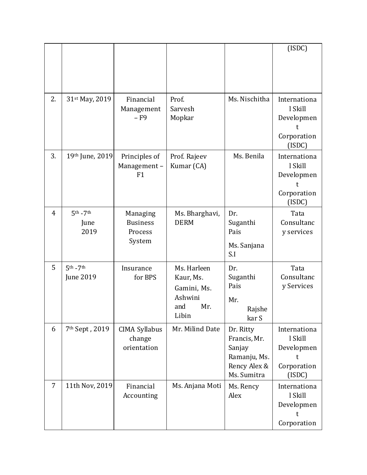|                |                                 |                                                  |                                                                           |                                                                                    | (ISDC)                                                              |
|----------------|---------------------------------|--------------------------------------------------|---------------------------------------------------------------------------|------------------------------------------------------------------------------------|---------------------------------------------------------------------|
| 2.             | 31st May, 2019                  | Financial<br>Management<br>$-F9$                 | Prof.<br>Sarvesh<br>Mopkar                                                | Ms. Nischitha                                                                      | Internationa<br>l Skill<br>Developmen<br>t<br>Corporation<br>(ISDC) |
| 3.             | 19th June, 2019                 | Principles of<br>Management-<br>F1               | Prof. Rajeev<br>Kumar (CA)                                                | Ms. Benila                                                                         | Internationa<br>l Skill<br>Developmen<br>t<br>Corporation<br>(ISDC) |
| $\overline{4}$ | $5th - 7th$<br>June<br>2019     | Managing<br><b>Business</b><br>Process<br>System | Ms. Bharghavi,<br><b>DERM</b>                                             | Dr.<br>Suganthi<br>Pais<br>Ms. Sanjana<br>S.I                                      | Tata<br>Consultanc<br>y services                                    |
| 5              | $5th - 7th$<br><b>June 2019</b> | Insurance<br>for BPS                             | Ms. Harleen<br>Kaur, Ms.<br>Gamini, Ms.<br>Ashwini<br>Mr.<br>and<br>Libin | Dr.<br>Suganthi<br>Pais<br>Mr.<br>Rajshe<br>kar S                                  | Tata<br>Consultanc<br>y Services                                    |
| 6              | 7 <sup>th</sup> Sept, 2019      | <b>CIMA Syllabus</b><br>change<br>orientation    | Mr. Milind Date                                                           | Dr. Ritty<br>Francis, Mr.<br>Sanjay<br>Ramanju, Ms.<br>Rency Alex &<br>Ms. Sumitra | Internationa<br>l Skill<br>Developmen<br>t<br>Corporation<br>(ISDC) |
| 7              | 11th Nov, 2019                  | Financial<br>Accounting                          | Ms. Anjana Moti                                                           | Ms. Rency<br>Alex                                                                  | Internationa<br>l Skill<br>Developmen<br>t<br>Corporation           |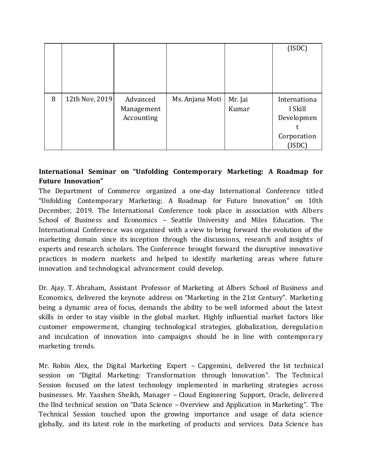|   |                |            |                 |         | (ISDC)       |
|---|----------------|------------|-----------------|---------|--------------|
|   |                |            |                 |         |              |
|   |                |            |                 |         |              |
|   |                |            |                 |         |              |
|   |                |            |                 |         |              |
| 8 | 12th Nov, 2019 | Advanced   | Ms. Anjana Moti | Mr. Jai | Internationa |
|   |                | Management |                 | Kumar   | l Skill      |
|   |                | Accounting |                 |         | Developmen   |
|   |                |            |                 |         |              |
|   |                |            |                 |         | Corporation  |
|   |                |            |                 |         | (ISDC)       |

# **International Seminar on "Unfolding Contemporary Marketing: A Roadmap for Future Innovation"**

The Department of Commerce organized a one-day International Conference titled "Unfolding Contemporary Marketing: A Roadmap for Future Innovation" on 10th December, 2019. The International Conference took place in association with Albers School of Business and Economics – Seattle University and Miles Education. The International Conference was organized with a view to bring forward the evolution of the marketing domain since its inception through the discussions, research and insights of experts and research scholars. The Conference brought forward the disruptive innovative practices in modern markets and helped to identify marketing areas where future innovation and technological advancement could develop.

Dr. Ajay. T. Abraham, Assistant Professor of Marketing at Albers School of Business and Economics, delivered the keynote address on "Marketing in the 21st Century". Marketing being a dynamic area of focus, demands the ability to be well informed about the latest skills in order to stay visible in the global market. Highly influential market factors like customer empowerment, changing technological strategies, globalization, deregulation and inculcation of innovation into campaigns should be in line with contemporary marketing trends.

Mr. Robin Alex, the Digital Marketing Expert – Capgemini, delivered the Ist technical session on "Digital Marketing: Transformation through Innovation". The Technical Session focused on the latest technology implemented in marketing strategies across businesses. Mr. Yaashen Sheikh, Manager – Cloud Engineering Support, Oracle, delivered the IInd technical session on "Data Science – Overview and Application in Marketing". The Technical Session touched upon the growing importance and usage of data science globally, and its latest role in the marketing of products and services. Data Science has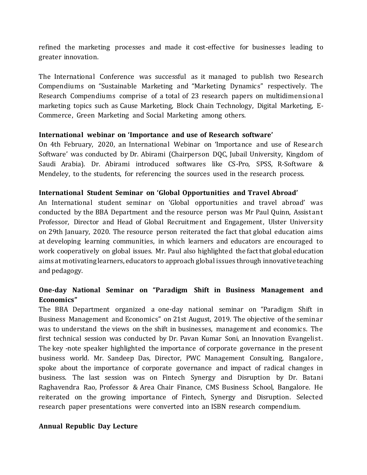refined the marketing processes and made it cost-effective for businesses leading to greater innovation.

The International Conference was successful as it managed to publish two Research Compendiums on "Sustainable Marketing and "Marketing Dynamics" respectively. The Research Compendiums comprise of a total of 23 research papers on multidimensiona l marketing topics such as Cause Marketing, Block Chain Technology, Digital Marketing, E-Commerce, Green Marketing and Social Marketing among others.

### **International webinar on 'Importance and use of Research software'**

On 4th February, 2020, an International Webinar on 'Importance and use of Research Software' was conducted by Dr. Abirami (Chairperson DQC, Jubail University, Kingdom of Saudi Arabia). Dr. Abirami introduced softwares like CS-Pro, SPSS, R-Software & Mendeley, to the students, for referencing the sources used in the research process.

### **International Student Seminar on 'Global Opportunities and Travel Abroad'**

An International student seminar on 'Global opportunities and travel abroad' was conducted by the BBA Department and the resource person was Mr Paul Quinn, Assist ant Professor, Director and Head of Global Recruitment and Engagement, Ulster University on 29th January, 2020. The resource person reiterated the fact that global education aims at developing learning communities, in which learners and educators are encouraged to work cooperatively on global issues. Mr. Paul also highlighted the fact that global education aims at motivating learners, educators to approach global issues through innovative teaching and pedagogy.

# **One-day National Seminar on "Paradigm Shift in Business Management and Economics"**

The BBA Department organized a one-day national seminar on "Paradigm Shift in Business Management and Economics" on 21st August, 2019. The objective of the semina r was to understand the views on the shift in businesses, management and economics. The first technical session was conducted by Dr. Pavan Kumar Soni, an Innovation Evangelist . The key -note speaker highlighted the importance of corporate governance in the present business world. Mr. Sandeep Das, Director, PWC Management Consulting, Bangalore , spoke about the importance of corporate governance and impact of radical changes in business. The last session was on Fintech Synergy and Disruption by Dr. Batani Raghavendra Rao, Professor & Area Chair Finance, CMS Business School, Bangalore. He reiterated on the growing importance of Fintech, Synergy and Disruption. Selected research paper presentations were converted into an ISBN research compendium.

### **Annual Republic Day Lecture**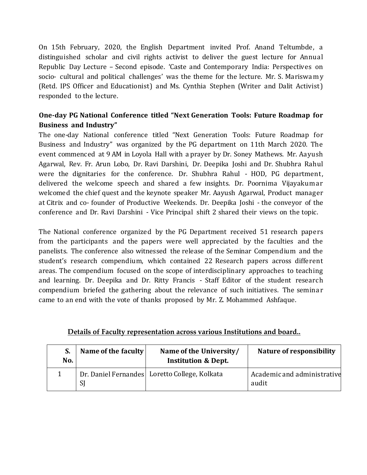On 15th February, 2020, the English Department invited Prof. Anand Teltumbde, a distinguished scholar and civil rights activist to deliver the guest lecture for Annual Republic Day Lecture – Second episode. 'Caste and Contemporary India: Perspectives on socio- cultural and political challenges' was the theme for the lecture. Mr. S. Mariswa m y (Retd. IPS Officer and Educationist) and Ms. Cynthia Stephen (Writer and Dalit Activist ) responded to the lecture.

# **One-day PG National Conference titled "Next Generation Tools: Future Roadmap for Business and Industry"**

The one-day National conference titled "Next Generation Tools: Future Roadmap for Business and Industry" was organized by the PG department on 11th March 2020. The event commenced at 9 AM in Loyola Hall with a prayer by Dr. Soney Mathews. Mr. Aayush Agarwal, Rev. Fr. Arun Lobo, Dr. Ravi Darshini, Dr. Deepika Joshi and Dr. Shubhra Rahul were the dignitaries for the conference. Dr. Shubhra Rahul - HOD, PG department, delivered the welcome speech and shared a few insights. Dr. Poornima Vijayakumar welcomed the chief quest and the keynote speaker Mr. Aayush Agarwal, Product manager at Citrix and co- founder of Productive Weekends. Dr. Deepika Joshi - the conveyor of the conference and Dr. Ravi Darshini - Vice Principal shift 2 shared their views on the topic.

The National conference organized by the PG Department received 51 research papers from the participants and the papers were well appreciated by the faculties and the panelists. The conference also witnessed the release of the Seminar Compendium and the student's research compendium, which contained 22 Research papers across different areas. The compendium focused on the scope of interdisciplinary approaches to teaching and learning. Dr. Deepika and Dr. Ritty Francis - Staff Editor of the student research compendium briefed the gathering about the relevance of such initiatives. The semina r came to an end with the vote of thanks proposed by Mr. Z. Mohammed Ashfaque.

| S.<br>No. | Name of the faculty | Name of the University/<br><b>Institution &amp; Dept.</b> | <b>Nature of responsibility</b>      |
|-----------|---------------------|-----------------------------------------------------------|--------------------------------------|
|           | <sub>S</sub>        | Dr. Daniel Fernandes Loretto College, Kolkata             | Academic and administrative<br>audit |

## **Details of Faculty representation across various Institutions and board..**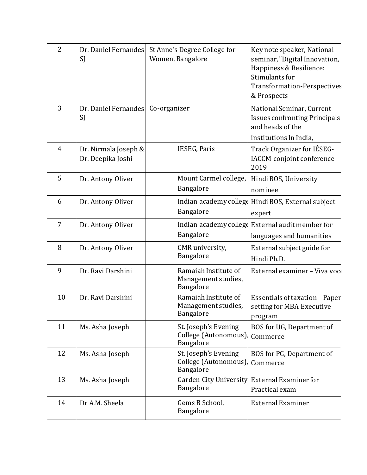| $\overline{2}$ | Dr. Daniel Fernandes<br>SJ                | St Anne's Degree College for<br>Women, Bangalore          | Key note speaker, National<br>seminar, "Digital Innovation,<br>Happiness & Resilience:<br>Stimulants for<br><b>Transformation-Perspectives</b><br>& Prospects |
|----------------|-------------------------------------------|-----------------------------------------------------------|---------------------------------------------------------------------------------------------------------------------------------------------------------------|
| 3              | Dr. Daniel Fernandes Co-organizer<br>SJ   |                                                           | National Seminar, Current<br><b>Issues confronting Principals</b><br>and heads of the                                                                         |
|                |                                           |                                                           | institutions In India,                                                                                                                                        |
| $\overline{4}$ | Dr. Nirmala Joseph &<br>Dr. Deepika Joshi | IESEG, Paris                                              | Track Organizer for IÉSEG-<br>IACCM conjoint conference<br>2019                                                                                               |
| 5              | Dr. Antony Oliver                         | Mount Carmel college,<br>Bangalore                        | Hindi BOS, University<br>nominee                                                                                                                              |
| 6              | Dr. Antony Oliver                         | Bangalore                                                 | Indian academy college Hindi BOS, External subject<br>expert                                                                                                  |
| 7              | Dr. Antony Oliver                         | Indian academy college<br>Bangalore                       | External audit member for<br>languages and humanities                                                                                                         |
| 8              | Dr. Antony Oliver                         | CMR university,<br>Bangalore                              | External subject guide for<br>Hindi Ph.D.                                                                                                                     |
| 9              | Dr. Ravi Darshini                         | Ramaiah Institute of<br>Management studies,<br>Bangalore  | External examiner - Viva voc                                                                                                                                  |
| 10             | Dr. Ravi Darshini                         | Ramaiah Institute of<br>Management studies,<br>Bangalore  | Essentials of taxation - Paper<br>setting for MBA Executive<br>program                                                                                        |
| 11             | Ms. Asha Joseph                           | St. Joseph's Evening<br>College (Autonomous)<br>Bangalore | BOS for UG, Department of<br>Commerce                                                                                                                         |
| 12             | Ms. Asha Joseph                           | St. Joseph's Evening<br>College (Autonomous)<br>Bangalore | BOS for PG, Department of<br>Commerce                                                                                                                         |
| 13             | Ms. Asha Joseph                           | <b>Garden City University</b><br>Bangalore                | <b>External Examiner for</b><br>Practical exam                                                                                                                |
| 14             | Dr A.M. Sheela                            | Gems B School,<br>Bangalore                               | <b>External Examiner</b>                                                                                                                                      |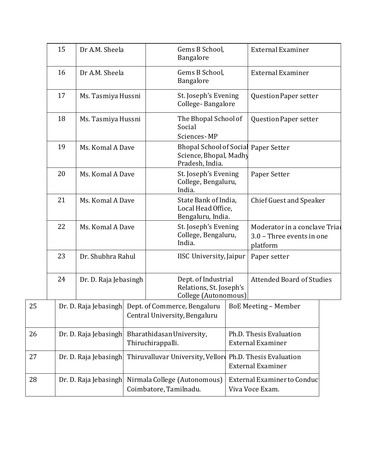|    | 15                    | Dr A.M. Sheela        |  | Gems B School,<br>Bangalore                                                              | <b>External Examiner</b>                                               |
|----|-----------------------|-----------------------|--|------------------------------------------------------------------------------------------|------------------------------------------------------------------------|
|    | 16                    | Dr A.M. Sheela        |  | Gems B School,<br>Bangalore                                                              | <b>External Examiner</b>                                               |
|    | 17                    | Ms. Tasmiya Hussni    |  | St. Joseph's Evening<br>College-Bangalore                                                | <b>Question Paper setter</b>                                           |
|    | 18                    | Ms. Tasmiya Hussni    |  | The Bhopal School of<br>Social<br>Sciences-MP                                            | <b>Question Paper setter</b>                                           |
|    | 19                    | Ms. Komal A Dave      |  | <b>Bhopal School of Social Paper Setter</b><br>Science, Bhopal, Madhy<br>Pradesh, India. |                                                                        |
|    | 20                    | Ms. Komal A Dave      |  | St. Joseph's Evening<br>College, Bengaluru,<br>India.                                    | Paper Setter                                                           |
|    | 21                    | Ms. Komal A Dave      |  | State Bank of India,<br>Local Head Office,<br>Bengaluru, India.                          | <b>Chief Guest and Speaker</b>                                         |
|    | 22                    | Ms. Komal A Dave      |  | St. Joseph's Evening<br>College, Bengaluru,<br>India.                                    | Moderator in a conclave Triad<br>3.0 - Three events in one<br>platform |
|    | 23                    | Dr. Shubhra Rahul     |  | IISC University, Jaipur                                                                  | Paper setter                                                           |
|    | 24                    | Dr. D. Raja Jebasingh |  | Dept. of Industrial<br>Relations, St. Joseph's<br>College (Autonomous)                   | <b>Attended Board of Studies</b>                                       |
| 25 |                       | Dr. D. Raja Jebasingh |  | Dept. of Commerce, Bengaluru<br>Central University, Bengaluru                            | <b>BoE Meeting - Member</b>                                            |
| 26 |                       | Dr. D. Raja Jebasingh |  | Bharathidasan University,<br>Thiruchirappalli.                                           | Ph.D. Thesis Evaluation<br><b>External Examiner</b>                    |
| 27 |                       | Dr. D. Raja Jebasingh |  | Thiruvalluvar University, Vellor                                                         | Ph.D. Thesis Evaluation<br><b>External Examiner</b>                    |
| 28 | Dr. D. Raja Jebasingh |                       |  | Nirmala College (Autonomous)<br>Coimbatore, Tamilnadu.                                   | External Examiner to Conduct<br>Viva Voce Exam.                        |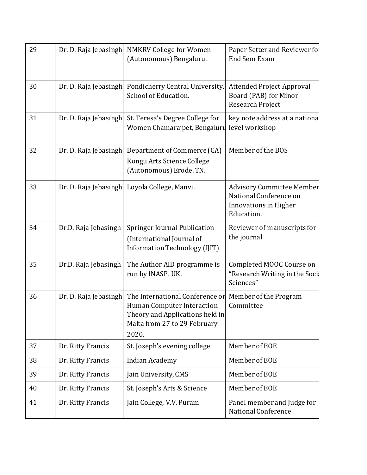| 29 | Dr. D. Raja Jebasingh | <b>NMKRV College for Women</b><br>(Autonomous) Bengaluru.                                                                                 | Paper Setter and Reviewer for<br><b>End Sem Exam</b>                                              |
|----|-----------------------|-------------------------------------------------------------------------------------------------------------------------------------------|---------------------------------------------------------------------------------------------------|
| 30 | Dr. D. Raja Jebasingh | Pondicherry Central University,<br>School of Education.                                                                                   | <b>Attended Project Approval</b><br>Board (PAB) for Minor<br><b>Research Project</b>              |
| 31 | Dr. D. Raja Jebasingh | St. Teresa's Degree College for<br>Women Chamarajpet, Bengaluru                                                                           | key note address at a national<br>level workshop                                                  |
| 32 | Dr. D. Raja Jebasingh | Department of Commerce (CA)<br>Kongu Arts Science College<br>(Autonomous) Erode. TN.                                                      | Member of the BOS                                                                                 |
| 33 | Dr. D. Raja Jebasingh | Loyola College, Manvi.                                                                                                                    | <b>Advisory Committee Member</b><br>National Conference on<br>Innovations in Higher<br>Education. |
| 34 | Dr.D. Raja Jebasingh  | Springer Journal Publication<br>(International Journal of<br>Information Technology (IJIT)                                                | Reviewer of manuscripts for<br>the journal                                                        |
| 35 | Dr.D. Raja Jebasingh  | The Author AID programme is<br>run by INASP, UK.                                                                                          | Completed MOOC Course on<br>"Research Writing in the Soci<br>Sciences"                            |
| 36 | Dr. D. Raja Jebasingh | The International Conference on<br>Human Computer Interaction<br>Theory and Applications held in<br>Malta from 27 to 29 February<br>2020. | Member of the Program<br>Committee                                                                |
| 37 | Dr. Ritty Francis     | St. Joseph's evening college                                                                                                              | Member of BOE                                                                                     |
| 38 | Dr. Ritty Francis     | <b>Indian Academy</b>                                                                                                                     | Member of BOE                                                                                     |
| 39 | Dr. Ritty Francis     | Jain University, CMS                                                                                                                      | Member of BOE                                                                                     |
| 40 | Dr. Ritty Francis     | St. Joseph's Arts & Science                                                                                                               | Member of BOE                                                                                     |
| 41 | Dr. Ritty Francis     | Jain College, V.V. Puram                                                                                                                  | Panel member and Judge for<br>National Conference                                                 |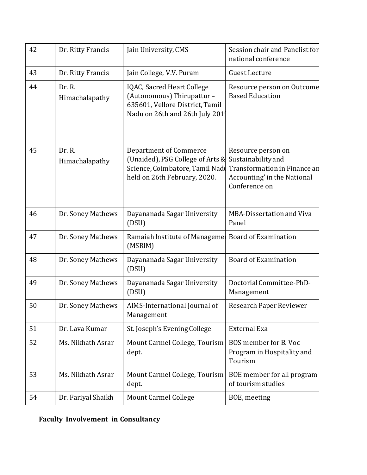| 42 | Dr. Ritty Francis        | Jain University, CMS                                                                                                                 | Session chair and Panelist for<br>national conference                                                                    |
|----|--------------------------|--------------------------------------------------------------------------------------------------------------------------------------|--------------------------------------------------------------------------------------------------------------------------|
| 43 | Dr. Ritty Francis        | Jain College, V.V. Puram                                                                                                             | <b>Guest Lecture</b>                                                                                                     |
| 44 | Dr. R.<br>Himachalapathy | IQAC, Sacred Heart College<br>(Autonomous) Thirupattur-<br>635601, Vellore District, Tamil<br>Nadu on 26th and 26th July 201         | Resource person on Outcome<br><b>Based Education</b>                                                                     |
| 45 | Dr. R.<br>Himachalapathy | <b>Department of Commerce</b><br>(Unaided), PSG College of Arts &<br>Science, Coimbatore, Tamil Nadı<br>held on 26th February, 2020. | Resource person on<br>Sustainability and<br>Transformation in Finance an<br>Accounting' in the National<br>Conference on |
| 46 | Dr. Soney Mathews        | Dayananada Sagar University<br>(DSU)                                                                                                 | MBA-Dissertation and Viva<br>Panel                                                                                       |
| 47 | Dr. Soney Mathews        | Ramaiah Institute of Manageme Board of Examination<br>(MSRIM)                                                                        |                                                                                                                          |
| 48 | Dr. Soney Mathews        | Dayananada Sagar University<br>(DSU)                                                                                                 | <b>Board of Examination</b>                                                                                              |
| 49 | Dr. Soney Mathews        | Dayananada Sagar University<br>(DSU)                                                                                                 | Doctorial Committee-PhD-<br>Management                                                                                   |
| 50 | Dr. Soney Mathews        | AIMS-International Journal of<br>Management                                                                                          | Research Paper Reviewer                                                                                                  |
| 51 | Dr. Lava Kumar           | St. Joseph's Evening College                                                                                                         | External Exa                                                                                                             |
| 52 | Ms. Nikhath Asrar        | Mount Carmel College, Tourism<br>dept.                                                                                               | BOS member for B. Voc<br>Program in Hospitality and<br>Tourism                                                           |
| 53 | Ms. Nikhath Asrar        | Mount Carmel College, Tourism<br>dept.                                                                                               | BOE member for all program<br>of tourism studies                                                                         |
| 54 | Dr. Fariyal Shaikh       | <b>Mount Carmel College</b>                                                                                                          | BOE, meeting                                                                                                             |

# **Faculty Involvement in Consultancy**